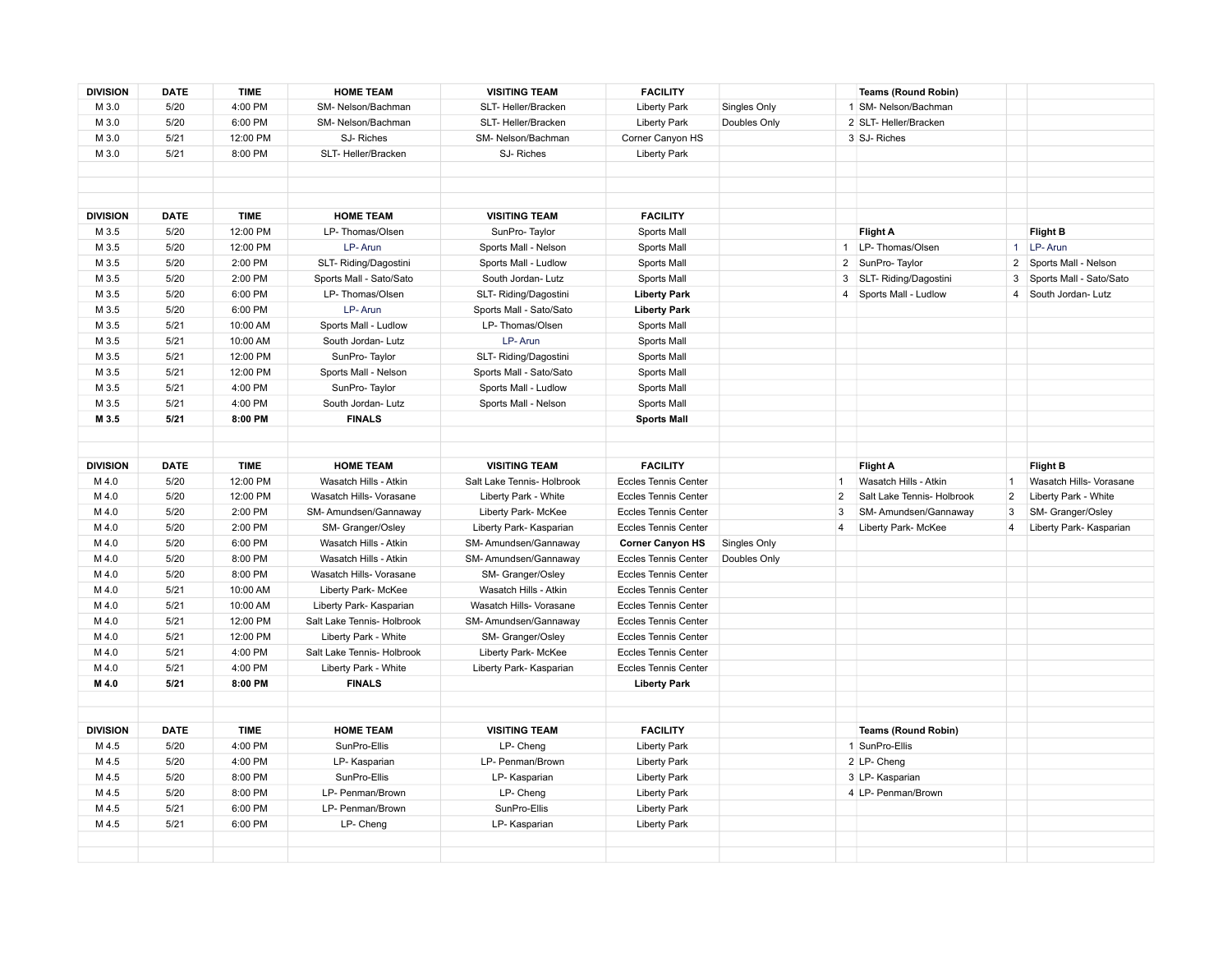| <b>DIVISION</b> | <b>DATE</b> | <b>TIME</b> | <b>HOME TEAM</b>           | <b>VISITING TEAM</b>       | <b>FACILITY</b>             |              |                | <b>Teams (Round Robin)</b> |                |                         |
|-----------------|-------------|-------------|----------------------------|----------------------------|-----------------------------|--------------|----------------|----------------------------|----------------|-------------------------|
| M 3.0           | 5/20        | 4:00 PM     | SM- Nelson/Bachman         | SLT-Heller/Bracken         | <b>Liberty Park</b>         | Singles Only |                | 1 SM- Nelson/Bachman       |                |                         |
| M 3.0           | 5/20        | 6:00 PM     | SM- Nelson/Bachman         | SLT- Heller/Bracken        | <b>Liberty Park</b>         | Doubles Only |                | 2 SLT- Heller/Bracken      |                |                         |
| M 3.0           | 5/21        | 12:00 PM    | SJ-Riches                  | SM- Nelson/Bachman         | Corner Canyon HS            |              |                | 3 SJ-Riches                |                |                         |
| M 3.0           | 5/21        | 8:00 PM     | SLT- Heller/Bracken        | SJ-Riches                  | <b>Liberty Park</b>         |              |                |                            |                |                         |
|                 |             |             |                            |                            |                             |              |                |                            |                |                         |
|                 |             |             |                            |                            |                             |              |                |                            |                |                         |
|                 |             |             |                            |                            |                             |              |                |                            |                |                         |
| <b>DIVISION</b> | <b>DATE</b> | <b>TIME</b> | <b>HOME TEAM</b>           | <b>VISITING TEAM</b>       | <b>FACILITY</b>             |              |                |                            |                |                         |
| M 3.5           | 5/20        | 12:00 PM    | LP-Thomas/Olsen            | SunPro-Taylor              | Sports Mall                 |              |                | <b>Flight A</b>            |                | <b>Flight B</b>         |
| M 3.5           | 5/20        | 12:00 PM    | LP-Arun                    | Sports Mall - Nelson       | Sports Mall                 |              |                | 1 LP- Thomas/Olsen         |                | 1 LP-Arun               |
| M 3.5           | 5/20        | 2:00 PM     | SLT- Riding/Dagostini      | Sports Mall - Ludlow       | Sports Mall                 |              | $\overline{2}$ | SunPro-Taylor              | $\overline{2}$ | Sports Mall - Nelson    |
| M 3.5           | 5/20        | 2:00 PM     | Sports Mall - Sato/Sato    | South Jordan- Lutz         | Sports Mall                 |              | 3              | SLT- Riding/Dagostini      | 3              | Sports Mall - Sato/Sato |
| M 3.5           | 5/20        | 6:00 PM     | LP-Thomas/Olsen            | SLT- Riding/Dagostini      | <b>Liberty Park</b>         |              |                | 4   Sports Mall - Ludlow   | $\overline{4}$ | South Jordan- Lutz      |
| M 3.5           | 5/20        | 6:00 PM     | LP-Arun                    | Sports Mall - Sato/Sato    | <b>Liberty Park</b>         |              |                |                            |                |                         |
| M 3.5           | 5/21        | 10:00 AM    | Sports Mall - Ludlow       | LP-Thomas/Olsen            | Sports Mall                 |              |                |                            |                |                         |
| M 3.5           | 5/21        | 10:00 AM    | South Jordan- Lutz         | LP-Arun                    | Sports Mall                 |              |                |                            |                |                         |
| M 3.5           | 5/21        | 12:00 PM    | SunPro-Taylor              | SLT- Riding/Dagostini      | Sports Mall                 |              |                |                            |                |                         |
| M 3.5           | 5/21        | 12:00 PM    | Sports Mall - Nelson       | Sports Mall - Sato/Sato    | Sports Mall                 |              |                |                            |                |                         |
| M 3.5           | 5/21        | 4:00 PM     | SunPro-Taylor              | Sports Mall - Ludlow       | Sports Mall                 |              |                |                            |                |                         |
| M 3.5           | 5/21        | 4:00 PM     | South Jordan- Lutz         | Sports Mall - Nelson       | Sports Mall                 |              |                |                            |                |                         |
| M 3.5           | 5/21        | 8:00 PM     | <b>FINALS</b>              |                            | <b>Sports Mall</b>          |              |                |                            |                |                         |
|                 |             |             |                            |                            |                             |              |                |                            |                |                         |
|                 |             |             |                            |                            |                             |              |                |                            |                |                         |
| <b>DIVISION</b> | <b>DATE</b> | <b>TIME</b> | <b>HOME TEAM</b>           | <b>VISITING TEAM</b>       | <b>FACILITY</b>             |              |                | <b>Flight A</b>            |                | <b>Flight B</b>         |
| M 4.0           | 5/20        | 12:00 PM    | Wasatch Hills - Atkin      | Salt Lake Tennis- Holbrook | <b>Eccles Tennis Center</b> |              | $\mathbf{1}$   | Wasatch Hills - Atkin      | $\overline{1}$ | Wasatch Hills- Vorasane |
| M 4.0           | 5/20        | 12:00 PM    | Wasatch Hills- Vorasane    | Liberty Park - White       | <b>Eccles Tennis Center</b> |              | $\overline{2}$ | Salt Lake Tennis- Holbrook | $\overline{2}$ | Liberty Park - White    |
| M 4.0           | 5/20        | 2:00 PM     | SM- Amundsen/Gannaway      | Liberty Park- McKee        | <b>Eccles Tennis Center</b> |              | 3              | SM-Amundsen/Gannaway       | 3              | SM- Granger/Osley       |
| M 4.0           | 5/20        | 2:00 PM     | SM- Granger/Osley          | Liberty Park- Kasparian    | <b>Eccles Tennis Center</b> |              | $\overline{4}$ | Liberty Park- McKee        | $\overline{4}$ | Liberty Park- Kasparian |
| M 4.0           | 5/20        | 6:00 PM     | Wasatch Hills - Atkin      | SM-Amundsen/Gannaway       | <b>Corner Canyon HS</b>     | Singles Only |                |                            |                |                         |
| M 4.0           | 5/20        | 8:00 PM     | Wasatch Hills - Atkin      | SM-Amundsen/Gannaway       | <b>Eccles Tennis Center</b> | Doubles Only |                |                            |                |                         |
| M 4.0           | 5/20        | 8:00 PM     | Wasatch Hills- Vorasane    | SM- Granger/Osley          | <b>Eccles Tennis Center</b> |              |                |                            |                |                         |
| M 4.0           | 5/21        | 10:00 AM    | Liberty Park- McKee        | Wasatch Hills - Atkin      | <b>Eccles Tennis Center</b> |              |                |                            |                |                         |
| M 4.0           | 5/21        | 10:00 AM    | Liberty Park- Kasparian    | Wasatch Hills- Vorasane    | <b>Eccles Tennis Center</b> |              |                |                            |                |                         |
| M 4.0           | 5/21        | 12:00 PM    | Salt Lake Tennis- Holbrook | SM-Amundsen/Gannaway       | <b>Eccles Tennis Center</b> |              |                |                            |                |                         |
| M 4.0           | 5/21        | 12:00 PM    | Liberty Park - White       | SM- Granger/Osley          | <b>Eccles Tennis Center</b> |              |                |                            |                |                         |
| M 4.0           | 5/21        | 4:00 PM     | Salt Lake Tennis- Holbrook | Liberty Park- McKee        | <b>Eccles Tennis Center</b> |              |                |                            |                |                         |
| M 4.0           | 5/21        | 4:00 PM     | Liberty Park - White       | Liberty Park- Kasparian    | <b>Eccles Tennis Center</b> |              |                |                            |                |                         |
| M 4.0           | 5/21        | 8:00 PM     | <b>FINALS</b>              |                            | <b>Liberty Park</b>         |              |                |                            |                |                         |
|                 |             |             |                            |                            |                             |              |                |                            |                |                         |
|                 |             |             |                            |                            |                             |              |                |                            |                |                         |
| <b>DIVISION</b> | <b>DATE</b> | <b>TIME</b> | <b>HOME TEAM</b>           | <b>VISITING TEAM</b>       | <b>FACILITY</b>             |              |                | <b>Teams (Round Robin)</b> |                |                         |
| M 4.5           | 5/20        | 4:00 PM     | SunPro-Ellis               | LP- Cheng                  | <b>Liberty Park</b>         |              |                | 1 SunPro-Ellis             |                |                         |
| M 4.5           | 5/20        | 4:00 PM     | LP-Kasparian               | LP- Penman/Brown           | <b>Liberty Park</b>         |              |                | 2 LP- Cheng                |                |                         |
| M 4.5           | 5/20        | 8:00 PM     | SunPro-Ellis               | LP-Kasparian               | <b>Liberty Park</b>         |              |                | 3 LP- Kasparian            |                |                         |
| M 4.5           | 5/20        | 8:00 PM     | LP- Penman/Brown           | LP- Cheng                  | <b>Liberty Park</b>         |              |                | 4 LP- Penman/Brown         |                |                         |
| M 4.5           | 5/21        | 6:00 PM     | LP- Penman/Brown           | SunPro-Ellis               | <b>Liberty Park</b>         |              |                |                            |                |                         |
| M 4.5           | 5/21        | 6:00 PM     | LP- Cheng                  | LP-Kasparian               | <b>Liberty Park</b>         |              |                |                            |                |                         |
|                 |             |             |                            |                            |                             |              |                |                            |                |                         |
|                 |             |             |                            |                            |                             |              |                |                            |                |                         |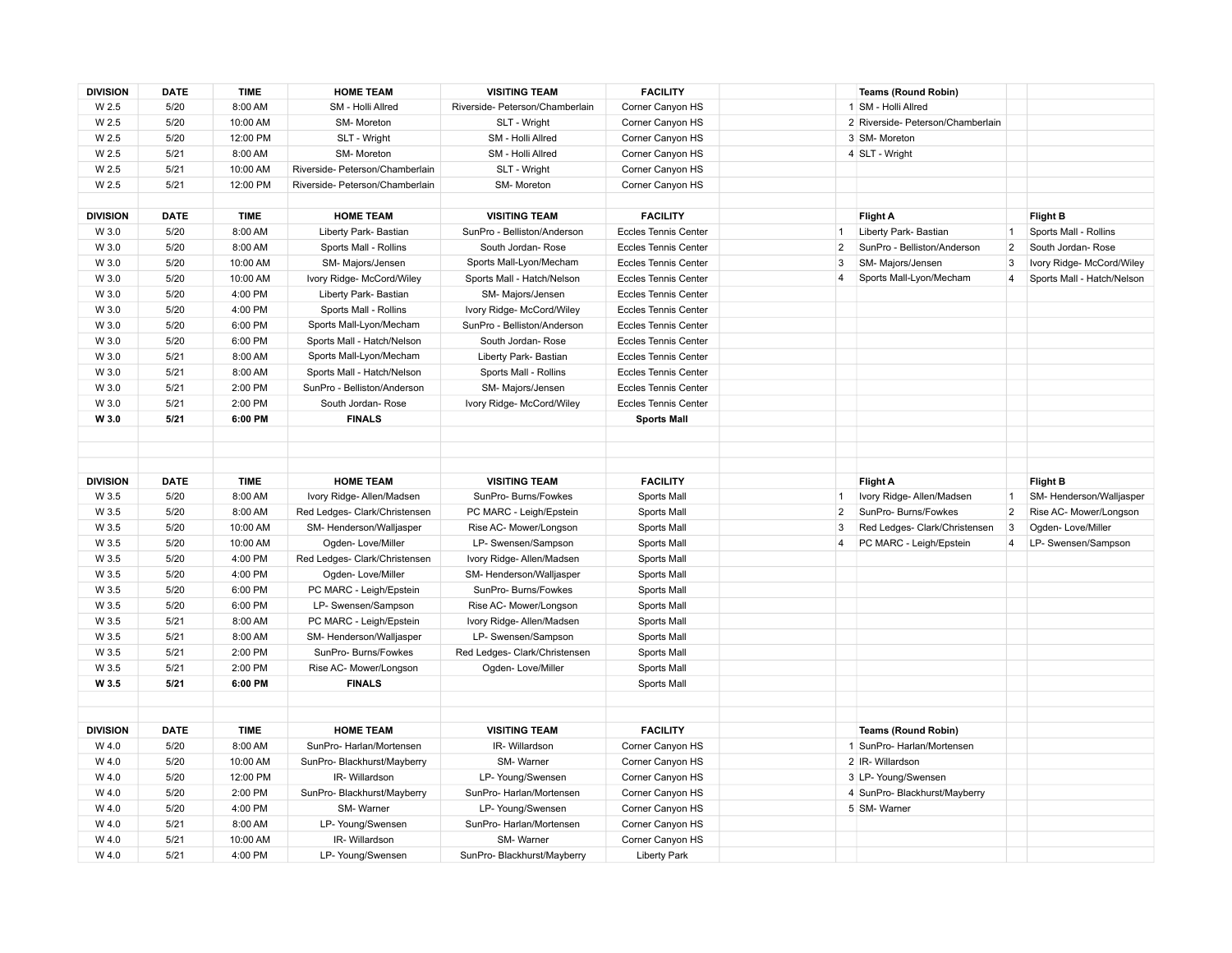| <b>DIVISION</b> | <b>DATE</b>  | <b>TIME</b>         | <b>HOME TEAM</b>                   | <b>VISITING TEAM</b>                     | <b>FACILITY</b>                         |                | <b>Teams (Round Robin)</b>        |                |                            |
|-----------------|--------------|---------------------|------------------------------------|------------------------------------------|-----------------------------------------|----------------|-----------------------------------|----------------|----------------------------|
| W 2.5           | 5/20         | 8:00 AM             | SM - Holli Allred                  | Riverside- Peterson/Chamberlain          | Corner Canyon HS                        |                | 1 SM - Holli Allred               |                |                            |
| W 2.5           | 5/20         | 10:00 AM            | SM-Moreton                         | SLT - Wright                             | Corner Canyon HS                        |                | 2 Riverside- Peterson/Chamberlain |                |                            |
| W 2.5           | 5/20         | 12:00 PM            | SLT - Wright                       | SM - Holli Allred                        | Corner Canyon HS                        |                | 3 SM-Moreton                      |                |                            |
| W 2.5           | 5/21         | 8:00 AM             | SM-Moreton                         | SM - Holli Allred                        | Corner Canyon HS                        |                | 4 SLT - Wright                    |                |                            |
| W 2.5           | 5/21         | 10:00 AM            | Riverside- Peterson/Chamberlain    | SLT - Wright                             | Corner Canyon HS                        |                |                                   |                |                            |
| W 2.5           | 5/21         | 12:00 PM            | Riverside- Peterson/Chamberlain    | SM-Moreton                               | Corner Canyon HS                        |                |                                   |                |                            |
|                 |              |                     |                                    |                                          |                                         |                |                                   |                |                            |
| <b>DIVISION</b> | <b>DATE</b>  | <b>TIME</b>         | <b>HOME TEAM</b>                   | <b>VISITING TEAM</b>                     | <b>FACILITY</b>                         |                | Flight A                          |                | <b>Flight B</b>            |
| W 3.0           | 5/20         | 8:00 AM             | Liberty Park- Bastian              | SunPro - Belliston/Anderson              | <b>Eccles Tennis Center</b>             | 1              | Liberty Park- Bastian             |                | Sports Mall - Rollins      |
| W 3.0           | 5/20         | 8:00 AM             | Sports Mall - Rollins              | South Jordan-Rose                        | <b>Eccles Tennis Center</b>             | 2              | SunPro - Belliston/Anderson       | $\overline{2}$ | South Jordan-Rose          |
| W 3.0           | 5/20         | 10:00 AM            | SM-Majors/Jensen                   | Sports Mall-Lyon/Mecham                  | <b>Eccles Tennis Center</b>             | 3              | SM-Majors/Jensen                  | 3              | Ivory Ridge- McCord/Wiley  |
| W 3.0           | 5/20         | 10:00 AM            | Ivory Ridge- McCord/Wiley          | Sports Mall - Hatch/Nelson               | <b>Eccles Tennis Center</b>             | 4              | Sports Mall-Lyon/Mecham           | $\overline{4}$ | Sports Mall - Hatch/Nelson |
| W 3.0           | 5/20         | 4:00 PM             | Liberty Park- Bastian              | SM-Majors/Jensen                         | <b>Eccles Tennis Center</b>             |                |                                   |                |                            |
| W 3.0           | 5/20         | 4:00 PM             | Sports Mall - Rollins              | Ivory Ridge- McCord/Wiley                | <b>Eccles Tennis Center</b>             |                |                                   |                |                            |
| W 3.0           | 5/20         | 6:00 PM             | Sports Mall-Lyon/Mecham            | SunPro - Belliston/Anderson              | <b>Eccles Tennis Center</b>             |                |                                   |                |                            |
| W 3.0           | 5/20         | 6:00 PM             | Sports Mall - Hatch/Nelson         | South Jordan-Rose                        | <b>Eccles Tennis Center</b>             |                |                                   |                |                            |
| W 3.0           | 5/21         | 8:00 AM             | Sports Mall-Lyon/Mecham            | Liberty Park- Bastian                    | <b>Eccles Tennis Center</b>             |                |                                   |                |                            |
| W 3.0           | 5/21         | 8:00 AM             | Sports Mall - Hatch/Nelson         | Sports Mall - Rollins                    | <b>Eccles Tennis Center</b>             |                |                                   |                |                            |
| W 3.0           | 5/21         | 2:00 PM             | SunPro - Belliston/Anderson        | SM-Majors/Jensen                         | <b>Eccles Tennis Center</b>             |                |                                   |                |                            |
| W 3.0           | 5/21         | 2:00 PM             | South Jordan-Rose                  | Ivory Ridge- McCord/Wiley                | <b>Eccles Tennis Center</b>             |                |                                   |                |                            |
| W 3.0           | 5/21         | 6:00 PM             | <b>FINALS</b>                      |                                          | <b>Sports Mall</b>                      |                |                                   |                |                            |
|                 |              |                     |                                    |                                          |                                         |                |                                   |                |                            |
|                 |              |                     |                                    |                                          |                                         |                |                                   |                |                            |
|                 |              |                     |                                    |                                          |                                         |                |                                   |                |                            |
|                 |              |                     |                                    |                                          |                                         |                |                                   |                |                            |
| <b>DIVISION</b> | <b>DATE</b>  | <b>TIME</b>         | <b>HOME TEAM</b>                   | <b>VISITING TEAM</b>                     | <b>FACILITY</b>                         |                | Flight A                          |                | <b>Flight B</b>            |
| W 3.5           | 5/20         | 8:00 AM             | Ivory Ridge- Allen/Madsen          | SunPro- Burns/Fowkes                     | Sports Mall                             | 1              | Ivory Ridge- Allen/Madsen         | $\overline{1}$ | SM-Henderson/Walljasper    |
| W 3.5           | 5/20         | 8:00 AM             | Red Ledges- Clark/Christensen      | PC MARC - Leigh/Epstein                  | Sports Mall                             | $\overline{2}$ | SunPro- Burns/Fowkes              | $\overline{2}$ | Rise AC- Mower/Longson     |
| W 3.5           | 5/20         | 10:00 AM            | SM-Henderson/Walljasper            | Rise AC- Mower/Longson                   | Sports Mall                             | 3              | Red Ledges- Clark/Christensen     | 3              | Ogden-Love/Miller          |
| W 3.5           | 5/20         | 10:00 AM            | Ogden-Love/Miller                  | LP- Swensen/Sampson                      | Sports Mall                             | 4              | PC MARC - Leigh/Epstein           | 4              | LP- Swensen/Sampson        |
| W 3.5           | 5/20         | 4:00 PM             | Red Ledges- Clark/Christensen      | Ivory Ridge- Allen/Madsen                | Sports Mall                             |                |                                   |                |                            |
| W 3.5           | 5/20         | 4:00 PM             | Ogden-Love/Miller                  | SM-Henderson/Walljasper                  | Sports Mall                             |                |                                   |                |                            |
| W 3.5           | 5/20         | 6:00 PM             | PC MARC - Leigh/Epstein            | SunPro- Burns/Fowkes                     | Sports Mall                             |                |                                   |                |                            |
| W 3.5           | 5/20         | 6:00 PM             | LP- Swensen/Sampson                | Rise AC- Mower/Longson                   | Sports Mall                             |                |                                   |                |                            |
| W 3.5           | 5/21         | 8:00 AM             | PC MARC - Leigh/Epstein            | Ivory Ridge-Allen/Madsen                 | Sports Mall                             |                |                                   |                |                            |
| W 3.5           | 5/21         | 8:00 AM             | SM-Henderson/Walljasper            | LP- Swensen/Sampson                      | Sports Mall                             |                |                                   |                |                            |
| W 3.5           | 5/21         | 2:00 PM             | SunPro- Burns/Fowkes               | Red Ledges- Clark/Christensen            | Sports Mall                             |                |                                   |                |                            |
| W 3.5           | 5/21         | 2:00 PM             | Rise AC- Mower/Longson             | Ogden-Love/Miller                        | Sports Mall                             |                |                                   |                |                            |
| W 3.5           | 5/21         | 6:00 PM             | <b>FINALS</b>                      |                                          | Sports Mall                             |                |                                   |                |                            |
|                 |              |                     |                                    |                                          |                                         |                |                                   |                |                            |
|                 |              |                     |                                    |                                          |                                         |                |                                   |                |                            |
| <b>DIVISION</b> | <b>DATE</b>  | <b>TIME</b>         | <b>HOME TEAM</b>                   | <b>VISITING TEAM</b>                     | <b>FACILITY</b>                         |                | <b>Teams (Round Robin)</b>        |                |                            |
| W 4.0           | 5/20         | 8:00 AM             | SunPro- Harlan/Mortensen           | IR-Willardson                            | Corner Canyon HS                        |                | 1 SunPro- Harlan/Mortensen        |                |                            |
| W 4.0           | 5/20         | 10:00 AM            | SunPro-Blackhurst/Mayberry         | SM-Warner                                | Corner Canyon HS                        |                | 2 IR-Willardson                   |                |                            |
| W 4.0           | 5/20         | 12:00 PM            | IR-Willardson                      | LP- Young/Swensen                        | Corner Canyon HS                        |                | 3 LP- Young/Swensen               |                |                            |
| W 4.0           | 5/20         | 2:00 PM             | SunPro-Blackhurst/Mayberry         | SunPro- Harlan/Mortensen                 | Corner Canyon HS                        |                | 4 SunPro- Blackhurst/Mayberry     |                |                            |
| W 4.0           | 5/20         | 4:00 PM             | SM-Warner                          | LP- Young/Swensen                        | Corner Canyon HS                        |                | 5 SM-Warner                       |                |                            |
| W 4.0           | 5/21         | 8:00 AM             | LP- Young/Swensen                  | SunPro-Harlan/Mortensen                  | Corner Canyon HS                        |                |                                   |                |                            |
| W 4.0<br>W 4.0  | 5/21<br>5/21 | 10:00 AM<br>4:00 PM | IR-Willardson<br>LP- Young/Swensen | SM-Warner<br>SunPro- Blackhurst/Mayberry | Corner Canyon HS<br><b>Liberty Park</b> |                |                                   |                |                            |